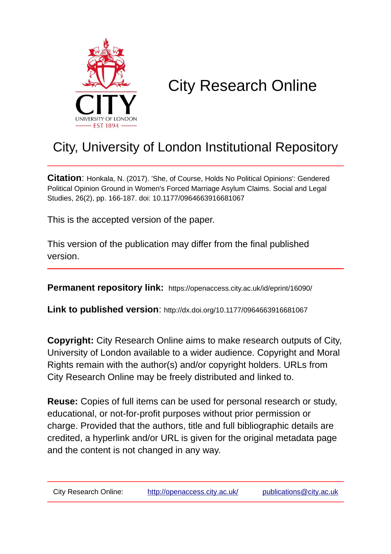

# City Research Online

## City, University of London Institutional Repository

**Citation**: Honkala, N. (2017). 'She, of Course, Holds No Political Opinions': Gendered Political Opinion Ground in Women's Forced Marriage Asylum Claims. Social and Legal Studies, 26(2), pp. 166-187. doi: 10.1177/0964663916681067

This is the accepted version of the paper.

This version of the publication may differ from the final published version.

**Permanent repository link:** https://openaccess.city.ac.uk/id/eprint/16090/

**Link to published version**: http://dx.doi.org/10.1177/0964663916681067

**Copyright:** City Research Online aims to make research outputs of City, University of London available to a wider audience. Copyright and Moral Rights remain with the author(s) and/or copyright holders. URLs from City Research Online may be freely distributed and linked to.

**Reuse:** Copies of full items can be used for personal research or study, educational, or not-for-profit purposes without prior permission or charge. Provided that the authors, title and full bibliographic details are credited, a hyperlink and/or URL is given for the original metadata page and the content is not changed in any way.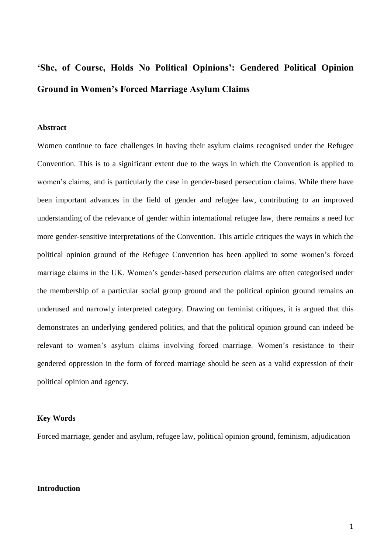### **'She, of Course, Holds No Political Opinions': Gendered Political Opinion Ground in Women's Forced Marriage Asylum Claims**

#### **Abstract**

Women continue to face challenges in having their asylum claims recognised under the Refugee Convention. This is to a significant extent due to the ways in which the Convention is applied to women's claims, and is particularly the case in gender-based persecution claims. While there have been important advances in the field of gender and refugee law, contributing to an improved understanding of the relevance of gender within international refugee law, there remains a need for more gender-sensitive interpretations of the Convention. This article critiques the ways in which the political opinion ground of the Refugee Convention has been applied to some women's forced marriage claims in the UK. Women's gender-based persecution claims are often categorised under the membership of a particular social group ground and the political opinion ground remains an underused and narrowly interpreted category. Drawing on feminist critiques, it is argued that this demonstrates an underlying gendered politics, and that the political opinion ground can indeed be relevant to women's asylum claims involving forced marriage. Women's resistance to their gendered oppression in the form of forced marriage should be seen as a valid expression of their political opinion and agency.

#### **Key Words**

Forced marriage, gender and asylum, refugee law, political opinion ground, feminism, adjudication

#### **Introduction**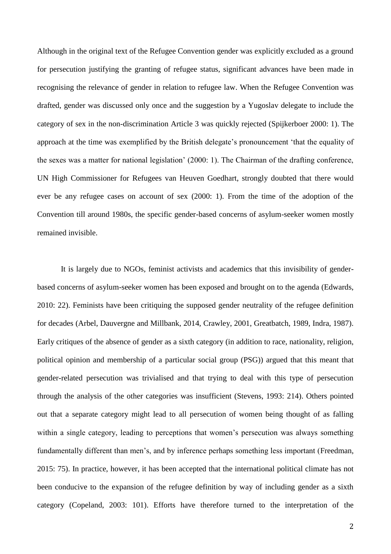Although in the original text of the Refugee Convention gender was explicitly excluded as a ground for persecution justifying the granting of refugee status, significant advances have been made in recognising the relevance of gender in relation to refugee law. When the Refugee Convention was drafted, gender was discussed only once and the suggestion by a Yugoslav delegate to include the category of sex in the non-discrimination Article 3 was quickly rejected (Spijkerboer 2000: 1). The approach at the time was exemplified by the British delegate's pronouncement 'that the equality of the sexes was a matter for national legislation' (2000: 1). The Chairman of the drafting conference, UN High Commissioner for Refugees van Heuven Goedhart, strongly doubted that there would ever be any refugee cases on account of sex (2000: 1). From the time of the adoption of the Convention till around 1980s, the specific gender-based concerns of asylum-seeker women mostly remained invisible.

It is largely due to NGOs, feminist activists and academics that this invisibility of genderbased concerns of asylum-seeker women has been exposed and brought on to the agenda (Edwards, 2010: 22). Feminists have been critiquing the supposed gender neutrality of the refugee definition for decades (Arbel, Dauvergne and Millbank, 2014, Crawley, 2001, Greatbatch, 1989, Indra, 1987). Early critiques of the absence of gender as a sixth category (in addition to race, nationality, religion, political opinion and membership of a particular social group (PSG)) argued that this meant that gender-related persecution was trivialised and that trying to deal with this type of persecution through the analysis of the other categories was insufficient (Stevens, 1993: 214). Others pointed out that a separate category might lead to all persecution of women being thought of as falling within a single category, leading to perceptions that women's persecution was always something fundamentally different than men's, and by inference perhaps something less important (Freedman, 2015: 75). In practice, however, it has been accepted that the international political climate has not been conducive to the expansion of the refugee definition by way of including gender as a sixth category (Copeland, 2003: 101). Efforts have therefore turned to the interpretation of the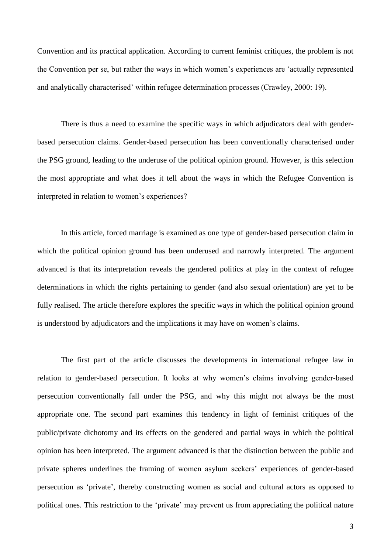Convention and its practical application. According to current feminist critiques, the problem is not the Convention per se, but rather the ways in which women's experiences are 'actually represented and analytically characterised' within refugee determination processes (Crawley, 2000: 19).

There is thus a need to examine the specific ways in which adjudicators deal with genderbased persecution claims. Gender-based persecution has been conventionally characterised under the PSG ground, leading to the underuse of the political opinion ground. However, is this selection the most appropriate and what does it tell about the ways in which the Refugee Convention is interpreted in relation to women's experiences?

In this article, forced marriage is examined as one type of gender-based persecution claim in which the political opinion ground has been underused and narrowly interpreted. The argument advanced is that its interpretation reveals the gendered politics at play in the context of refugee determinations in which the rights pertaining to gender (and also sexual orientation) are yet to be fully realised. The article therefore explores the specific ways in which the political opinion ground is understood by adjudicators and the implications it may have on women's claims.

The first part of the article discusses the developments in international refugee law in relation to gender-based persecution. It looks at why women's claims involving gender-based persecution conventionally fall under the PSG, and why this might not always be the most appropriate one. The second part examines this tendency in light of feminist critiques of the public/private dichotomy and its effects on the gendered and partial ways in which the political opinion has been interpreted. The argument advanced is that the distinction between the public and private spheres underlines the framing of women asylum seekers' experiences of gender-based persecution as 'private', thereby constructing women as social and cultural actors as opposed to political ones. This restriction to the 'private' may prevent us from appreciating the political nature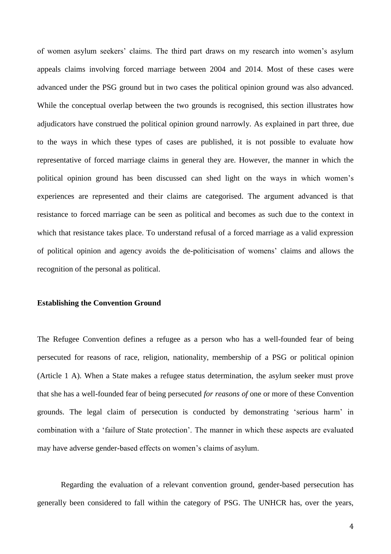of women asylum seekers' claims. The third part draws on my research into women's asylum appeals claims involving forced marriage between 2004 and 2014. Most of these cases were advanced under the PSG ground but in two cases the political opinion ground was also advanced. While the conceptual overlap between the two grounds is recognised, this section illustrates how adjudicators have construed the political opinion ground narrowly. As explained in part three, due to the ways in which these types of cases are published, it is not possible to evaluate how representative of forced marriage claims in general they are. However, the manner in which the political opinion ground has been discussed can shed light on the ways in which women's experiences are represented and their claims are categorised. The argument advanced is that resistance to forced marriage can be seen as political and becomes as such due to the context in which that resistance takes place. To understand refusal of a forced marriage as a valid expression of political opinion and agency avoids the de-politicisation of womens' claims and allows the recognition of the personal as political.

#### **Establishing the Convention Ground**

The Refugee Convention defines a refugee as a person who has a well-founded fear of being persecuted for reasons of race, religion, nationality, membership of a PSG or political opinion (Article 1 A). When a State makes a refugee status determination, the asylum seeker must prove that she has a well-founded fear of being persecuted *for reasons of* one or more of these Convention grounds. The legal claim of persecution is conducted by demonstrating 'serious harm' in combination with a 'failure of State protection'. The manner in which these aspects are evaluated may have adverse gender-based effects on women's claims of asylum.

Regarding the evaluation of a relevant convention ground, gender-based persecution has generally been considered to fall within the category of PSG. The UNHCR has, over the years,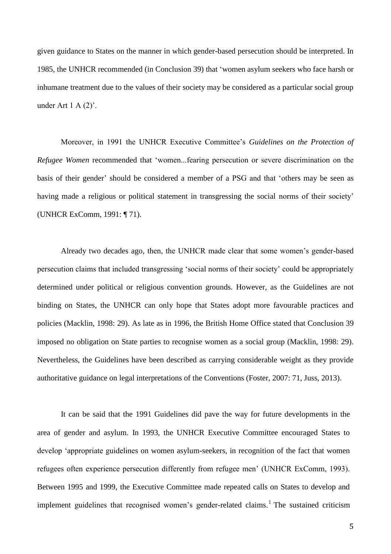given guidance to States on the manner in which gender-based persecution should be interpreted. In 1985, the UNHCR recommended (in Conclusion 39) that 'women asylum seekers who face harsh or inhumane treatment due to the values of their society may be considered as a particular social group under Art  $1 \text{ A } (2)'$ .

Moreover, in 1991 the UNHCR Executive Committee's *Guidelines on the Protection of Refugee Women* recommended that 'women...fearing persecution or severe discrimination on the basis of their gender' should be considered a member of a PSG and that 'others may be seen as having made a religious or political statement in transgressing the social norms of their society' (UNHCR ExComm, 1991: ¶ 71).

Already two decades ago, then, the UNHCR made clear that some women's gender-based persecution claims that included transgressing 'social norms of their society' could be appropriately determined under political or religious convention grounds. However, as the Guidelines are not binding on States, the UNHCR can only hope that States adopt more favourable practices and policies (Macklin, 1998: 29). As late as in 1996, the British Home Office stated that Conclusion 39 imposed no obligation on State parties to recognise women as a social group (Macklin, 1998: 29). Nevertheless, the Guidelines have been described as carrying considerable weight as they provide authoritative guidance on legal interpretations of the Conventions (Foster, 2007: 71, Juss, 2013).

It can be said that the 1991 Guidelines did pave the way for future developments in the area of gender and asylum. In 1993, the UNHCR Executive Committee encouraged States to develop 'appropriate guidelines on women asylum-seekers, in recognition of the fact that women refugees often experience persecution differently from refugee men' (UNHCR ExComm, 1993). Between 1995 and 1999, the Executive Committee made repeated calls on States to develop and implement guidelines that recognised women's gender-related claims.<sup>1</sup> The sustained criticism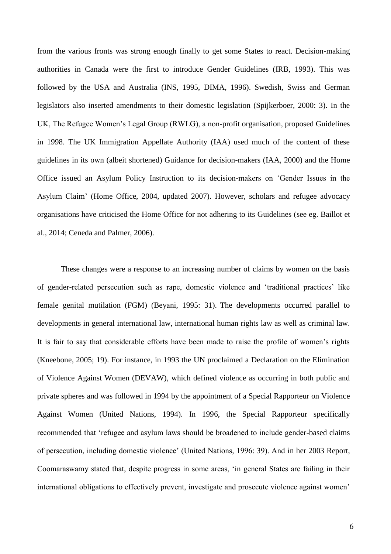from the various fronts was strong enough finally to get some States to react. Decision-making authorities in Canada were the first to introduce Gender Guidelines (IRB, 1993). This was followed by the USA and Australia (INS, 1995, DIMA, 1996). Swedish, Swiss and German legislators also inserted amendments to their domestic legislation (Spijkerboer, 2000: 3). In the UK, The Refugee Women's Legal Group (RWLG), a non-profit organisation, proposed Guidelines in 1998. The UK Immigration Appellate Authority (IAA) used much of the content of these guidelines in its own (albeit shortened) Guidance for decision-makers (IAA, 2000) and the Home Office issued an Asylum Policy Instruction to its decision-makers on 'Gender Issues in the Asylum Claim' (Home Office, 2004, updated 2007). However, scholars and refugee advocacy organisations have criticised the Home Office for not adhering to its Guidelines (see eg. Baillot et al., 2014; Ceneda and Palmer, 2006).

These changes were a response to an increasing number of claims by women on the basis of gender-related persecution such as rape, domestic violence and 'traditional practices' like female genital mutilation (FGM) (Beyani, 1995: 31). The developments occurred parallel to developments in general international law, international human rights law as well as criminal law. It is fair to say that considerable efforts have been made to raise the profile of women's rights (Kneebone, 2005; 19). For instance, in 1993 the UN proclaimed a Declaration on the Elimination of Violence Against Women (DEVAW), which defined violence as occurring in both public and private spheres and was followed in 1994 by the appointment of a Special Rapporteur on Violence Against Women (United Nations, 1994). In 1996, the Special Rapporteur specifically recommended that 'refugee and asylum laws should be broadened to include gender-based claims of persecution, including domestic violence' (United Nations, 1996: 39). And in her 2003 Report, Coomaraswamy stated that, despite progress in some areas, 'in general States are failing in their international obligations to effectively prevent, investigate and prosecute violence against women'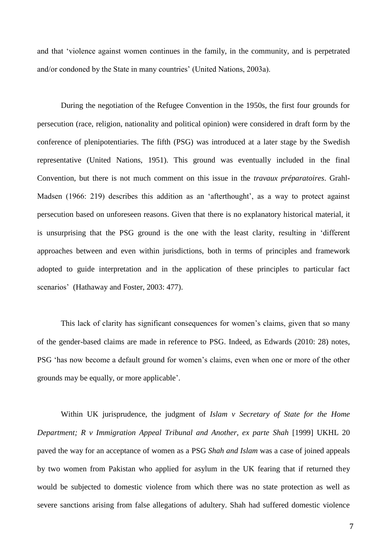and that 'violence against women continues in the family, in the community, and is perpetrated and/or condoned by the State in many countries' (United Nations, 2003a).

During the negotiation of the Refugee Convention in the 1950s, the first four grounds for persecution (race, religion, nationality and political opinion) were considered in draft form by the conference of plenipotentiaries. The fifth (PSG) was introduced at a later stage by the Swedish representative (United Nations, 1951). This ground was eventually included in the final Convention, but there is not much comment on this issue in the *travaux préparatoires*. Grahl-Madsen (1966: 219) describes this addition as an 'afterthought', as a way to protect against persecution based on unforeseen reasons. Given that there is no explanatory historical material, it is unsurprising that the PSG ground is the one with the least clarity, resulting in 'different approaches between and even within jurisdictions, both in terms of principles and framework adopted to guide interpretation and in the application of these principles to particular fact scenarios' (Hathaway and Foster, 2003: 477).

This lack of clarity has significant consequences for women's claims, given that so many of the gender-based claims are made in reference to PSG. Indeed, as Edwards (2010: 28) notes, PSG 'has now become a default ground for women's claims, even when one or more of the other grounds may be equally, or more applicable'.

Within UK jurisprudence, the judgment of *Islam v Secretary of State for the Home Department; R v Immigration Appeal Tribunal and Another, ex parte Shah* [1999] UKHL 20 paved the way for an acceptance of women as a PSG *Shah and Islam* was a case of joined appeals by two women from Pakistan who applied for asylum in the UK fearing that if returned they would be subjected to domestic violence from which there was no state protection as well as severe sanctions arising from false allegations of adultery. Shah had suffered domestic violence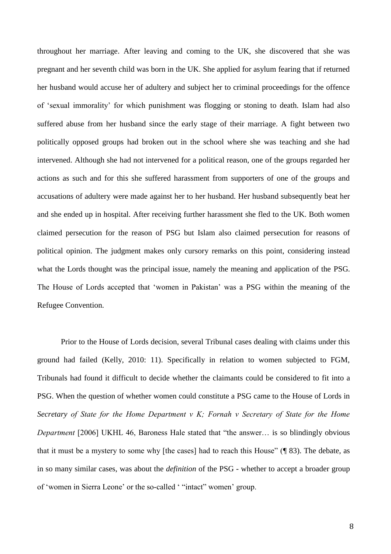throughout her marriage. After leaving and coming to the UK, she discovered that she was pregnant and her seventh child was born in the UK. She applied for asylum fearing that if returned her husband would accuse her of adultery and subject her to criminal proceedings for the offence of 'sexual immorality' for which punishment was flogging or stoning to death. Islam had also suffered abuse from her husband since the early stage of their marriage. A fight between two politically opposed groups had broken out in the school where she was teaching and she had intervened. Although she had not intervened for a political reason, one of the groups regarded her actions as such and for this she suffered harassment from supporters of one of the groups and accusations of adultery were made against her to her husband. Her husband subsequently beat her and she ended up in hospital. After receiving further harassment she fled to the UK. Both women claimed persecution for the reason of PSG but Islam also claimed persecution for reasons of political opinion. The judgment makes only cursory remarks on this point, considering instead what the Lords thought was the principal issue, namely the meaning and application of the PSG. The House of Lords accepted that 'women in Pakistan' was a PSG within the meaning of the Refugee Convention.

Prior to the House of Lords decision, several Tribunal cases dealing with claims under this ground had failed (Kelly, 2010: 11). Specifically in relation to women subjected to FGM, Tribunals had found it difficult to decide whether the claimants could be considered to fit into a PSG. When the question of whether women could constitute a PSG came to the House of Lords in *Secretary of State for the Home Department v K; Fornah v Secretary of State for the Home Department* [2006] UKHL 46, Baroness Hale stated that "the answer… is so blindingly obvious that it must be a mystery to some why [the cases] had to reach this House" (¶ 83). The debate, as in so many similar cases, was about the *definition* of the PSG - whether to accept a broader group of 'women in Sierra Leone' or the so-called ' "intact" women' group.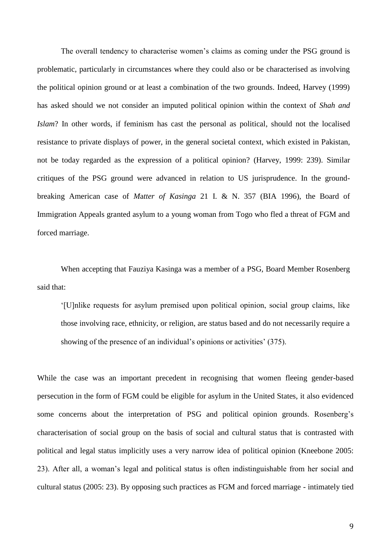The overall tendency to characterise women's claims as coming under the PSG ground is problematic, particularly in circumstances where they could also or be characterised as involving the political opinion ground or at least a combination of the two grounds. Indeed, Harvey (1999) has asked should we not consider an imputed political opinion within the context of *Shah and Islam*? In other words, if feminism has cast the personal as political, should not the localised resistance to private displays of power, in the general societal context, which existed in Pakistan, not be today regarded as the expression of a political opinion? (Harvey, 1999: 239). Similar critiques of the PSG ground were advanced in relation to US jurisprudence. In the groundbreaking American case of *M*a*tter of Kasinga* 21 I. & N. 357 (BIA 1996), the Board of Immigration Appeals granted asylum to a young woman from Togo who fled a threat of FGM and forced marriage.

When accepting that Fauziya Kasinga was a member of a PSG, Board Member Rosenberg said that:

'[U]nlike requests for asylum premised upon political opinion, social group claims, like those involving race, ethnicity, or religion, are status based and do not necessarily require a showing of the presence of an individual's opinions or activities' (375).

While the case was an important precedent in recognising that women fleeing gender-based persecution in the form of FGM could be eligible for asylum in the United States, it also evidenced some concerns about the interpretation of PSG and political opinion grounds. Rosenberg's characterisation of social group on the basis of social and cultural status that is contrasted with political and legal status implicitly uses a very narrow idea of political opinion (Kneebone 2005: 23). After all, a woman's legal and political status is often indistinguishable from her social and cultural status (2005: 23). By opposing such practices as FGM and forced marriage - intimately tied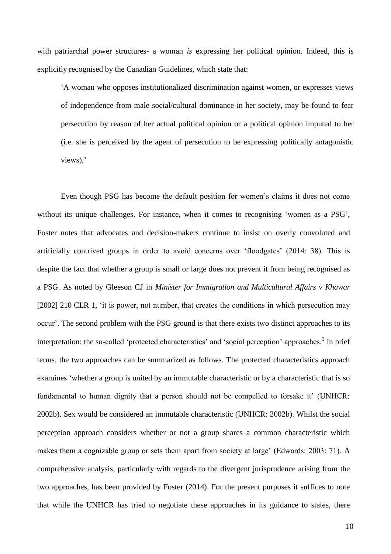with patriarchal power structures- a woman *is* expressing her political opinion. Indeed, this is explicitly recognised by the Canadian Guidelines, which state that:

'A woman who opposes institutionalized discrimination against women, or expresses views of independence from male social/cultural dominance in her society, may be found to fear persecution by reason of her actual political opinion or a political opinion imputed to her (i.e. she is perceived by the agent of persecution to be expressing politically antagonistic views),'

Even though PSG has become the default position for women's claims it does not come without its unique challenges. For instance, when it comes to recognising 'women as a PSG', Foster notes that advocates and decision-makers continue to insist on overly convoluted and artificially contrived groups in order to avoid concerns over 'floodgates' (2014: 38). This is despite the fact that whether a group is small or large does not prevent it from being recognised as a PSG. As noted by Gleeson CJ in *Minister for Immigration and Multicultural Affairs v Khawar* [2002] 210 CLR 1, 'it is power, not number, that creates the conditions in which persecution may occur'. The second problem with the PSG ground is that there exists two distinct approaches to its interpretation: the so-called 'protected characteristics' and 'social perception' approaches.<sup>2</sup> In brief terms, the two approaches can be summarized as follows. The protected characteristics approach examines 'whether a group is united by an immutable characteristic or by a characteristic that is so fundamental to human dignity that a person should not be compelled to forsake it' (UNHCR: 2002b). Sex would be considered an immutable characteristic (UNHCR: 2002b). Whilst the social perception approach considers whether or not a group shares a common characteristic which makes them a cognizable group or sets them apart from society at large' (Edwards: 2003: 71). A comprehensive analysis, particularly with regards to the divergent jurisprudence arising from the two approaches, has been provided by Foster (2014). For the present purposes it suffices to note that while the UNHCR has tried to negotiate these approaches in its guidance to states, there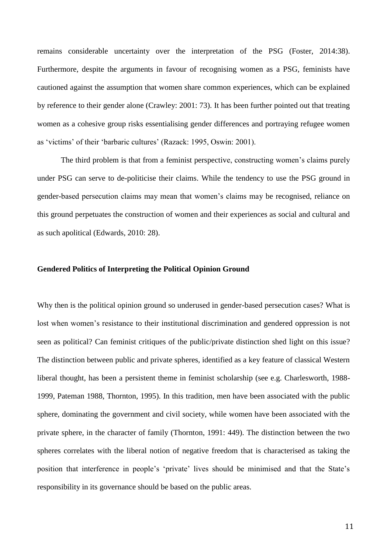remains considerable uncertainty over the interpretation of the PSG (Foster, 2014:38). Furthermore, despite the arguments in favour of recognising women as a PSG, feminists have cautioned against the assumption that women share common experiences, which can be explained by reference to their gender alone (Crawley: 2001: 73). It has been further pointed out that treating women as a cohesive group risks essentialising gender differences and portraying refugee women as 'victims' of their 'barbaric cultures' (Razack: 1995, Oswin: 2001).

The third problem is that from a feminist perspective, constructing women's claims purely under PSG can serve to de-politicise their claims. While the tendency to use the PSG ground in gender-based persecution claims may mean that women's claims may be recognised, reliance on this ground perpetuates the construction of women and their experiences as social and cultural and as such apolitical (Edwards, 2010: 28).

#### **Gendered Politics of Interpreting the Political Opinion Ground**

Why then is the political opinion ground so underused in gender-based persecution cases? What is lost when women's resistance to their institutional discrimination and gendered oppression is not seen as political? Can feminist critiques of the public/private distinction shed light on this issue? The distinction between public and private spheres, identified as a key feature of classical Western liberal thought, has been a persistent theme in feminist scholarship (see e.g. Charlesworth, 1988- 1999, Pateman 1988, Thornton, 1995). In this tradition, men have been associated with the public sphere, dominating the government and civil society, while women have been associated with the private sphere, in the character of family (Thornton, 1991: 449). The distinction between the two spheres correlates with the liberal notion of negative freedom that is characterised as taking the position that interference in people's 'private' lives should be minimised and that the State's responsibility in its governance should be based on the public areas.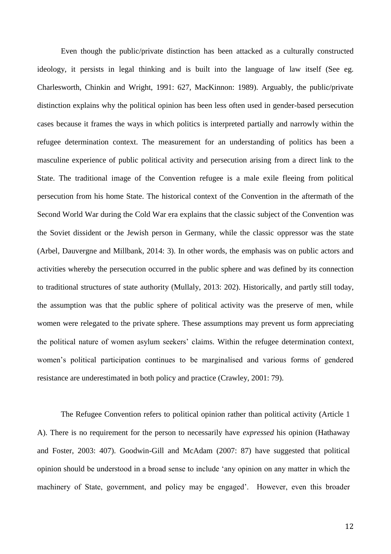Even though the public/private distinction has been attacked as a culturally constructed ideology, it persists in legal thinking and is built into the language of law itself (See eg. Charlesworth, Chinkin and Wright, 1991: 627, MacKinnon: 1989). Arguably, the public/private distinction explains why the political opinion has been less often used in gender-based persecution cases because it frames the ways in which politics is interpreted partially and narrowly within the refugee determination context. The measurement for an understanding of politics has been a masculine experience of public political activity and persecution arising from a direct link to the State. The traditional image of the Convention refugee is a male exile fleeing from political persecution from his home State. The historical context of the Convention in the aftermath of the Second World War during the Cold War era explains that the classic subject of the Convention was the Soviet dissident or the Jewish person in Germany, while the classic oppressor was the state (Arbel*,* Dauvergne and Millbank*,* 2014: 3). In other words, the emphasis was on public actors and activities whereby the persecution occurred in the public sphere and was defined by its connection to traditional structures of state authority (Mullaly, 2013: 202). Historically, and partly still today, the assumption was that the public sphere of political activity was the preserve of men, while women were relegated to the private sphere. These assumptions may prevent us form appreciating the political nature of women asylum seekers' claims. Within the refugee determination context, women's political participation continues to be marginalised and various forms of gendered resistance are underestimated in both policy and practice (Crawley, 2001: 79).

The Refugee Convention refers to political opinion rather than political activity (Article 1 A). There is no requirement for the person to necessarily have *expressed* his opinion (Hathaway and Foster, 2003: 407). Goodwin-Gill and McAdam (2007: 87) have suggested that political opinion should be understood in a broad sense to include 'any opinion on any matter in which the machinery of State, government, and policy may be engaged'. However, even this broader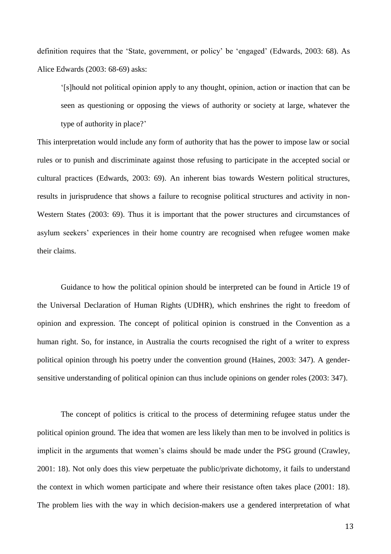definition requires that the 'State, government, or policy' be 'engaged' (Edwards, 2003: 68). As Alice Edwards (2003: 68-69) asks:

'[s]hould not political opinion apply to any thought, opinion, action or inaction that can be seen as questioning or opposing the views of authority or society at large, whatever the type of authority in place?'

This interpretation would include any form of authority that has the power to impose law or social rules or to punish and discriminate against those refusing to participate in the accepted social or cultural practices (Edwards, 2003: 69). An inherent bias towards Western political structures, results in jurisprudence that shows a failure to recognise political structures and activity in non-Western States (2003: 69). Thus it is important that the power structures and circumstances of asylum seekers' experiences in their home country are recognised when refugee women make their claims.

Guidance to how the political opinion should be interpreted can be found in Article 19 of the Universal Declaration of Human Rights (UDHR), which enshrines the right to freedom of opinion and expression. The concept of political opinion is construed in the Convention as a human right. So, for instance, in Australia the courts recognised the right of a writer to express political opinion through his poetry under the convention ground (Haines, 2003: 347). A gendersensitive understanding of political opinion can thus include opinions on gender roles (2003: 347).

The concept of politics is critical to the process of determining refugee status under the political opinion ground. The idea that women are less likely than men to be involved in politics is implicit in the arguments that women's claims should be made under the PSG ground (Crawley, 2001: 18). Not only does this view perpetuate the public/private dichotomy, it fails to understand the context in which women participate and where their resistance often takes place (2001: 18). The problem lies with the way in which decision-makers use a gendered interpretation of what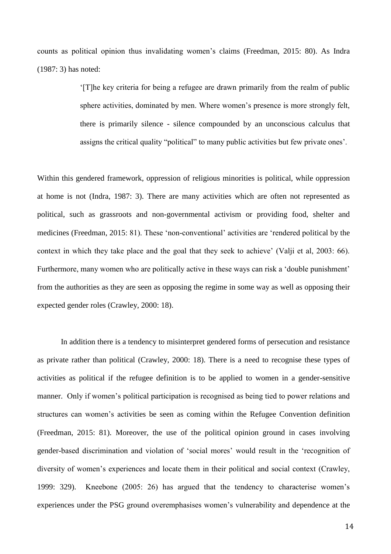counts as political opinion thus invalidating women's claims (Freedman, 2015: 80). As Indra (1987: 3) has noted:

> '[T]he key criteria for being a refugee are drawn primarily from the realm of public sphere activities, dominated by men. Where women's presence is more strongly felt, there is primarily silence - silence compounded by an unconscious calculus that assigns the critical quality "political" to many public activities but few private ones'.

Within this gendered framework, oppression of religious minorities is political, while oppression at home is not (Indra, 1987: 3). There are many activities which are often not represented as political, such as grassroots and non-governmental activism or providing food, shelter and medicines (Freedman, 2015: 81). These 'non-conventional' activities are 'rendered political by the context in which they take place and the goal that they seek to achieve' (Valji et al, 2003: 66). Furthermore, many women who are politically active in these ways can risk a 'double punishment' from the authorities as they are seen as opposing the regime in some way as well as opposing their expected gender roles (Crawley, 2000: 18).

In addition there is a tendency to misinterpret gendered forms of persecution and resistance as private rather than political (Crawley, 2000: 18). There is a need to recognise these types of activities as political if the refugee definition is to be applied to women in a gender-sensitive manner. Only if women's political participation is recognised as being tied to power relations and structures can women's activities be seen as coming within the Refugee Convention definition (Freedman, 2015: 81). Moreover, the use of the political opinion ground in cases involving gender-based discrimination and violation of 'social mores' would result in the 'recognition of diversity of women's experiences and locate them in their political and social context (Crawley, 1999: 329). Kneebone (2005: 26) has argued that the tendency to characterise women's experiences under the PSG ground overemphasises women's vulnerability and dependence at the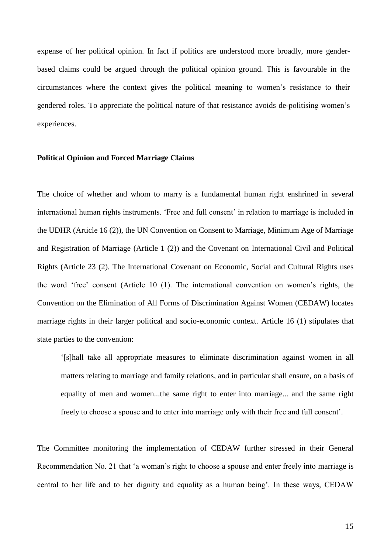expense of her political opinion. In fact if politics are understood more broadly, more genderbased claims could be argued through the political opinion ground. This is favourable in the circumstances where the context gives the political meaning to women's resistance to their gendered roles. To appreciate the political nature of that resistance avoids de-politising women's experiences.

#### **Political Opinion and Forced Marriage Claims**

The choice of whether and whom to marry is a fundamental human right enshrined in several international human rights instruments. 'Free and full consent' in relation to marriage is included in the UDHR (Article 16 (2)), the UN Convention on Consent to Marriage, Minimum Age of Marriage and Registration of Marriage (Article 1 (2)) and the Covenant on International Civil and Political Rights (Article 23 (2). The International Covenant on Economic, Social and Cultural Rights uses the word 'free' consent (Article 10 (1). The international convention on women's rights, the Convention on the Elimination of All Forms of Discrimination Against Women (CEDAW) locates marriage rights in their larger political and socio-economic context. Article 16 (1) stipulates that state parties to the convention:

'[s]hall take all appropriate measures to eliminate discrimination against women in all matters relating to marriage and family relations, and in particular shall ensure, on a basis of equality of men and women...the same right to enter into marriage... and the same right freely to choose a spouse and to enter into marriage only with their free and full consent'.

The Committee monitoring the implementation of CEDAW further stressed in their General Recommendation No. 21 that 'a woman's right to choose a spouse and enter freely into marriage is central to her life and to her dignity and equality as a human being'. In these ways, CEDAW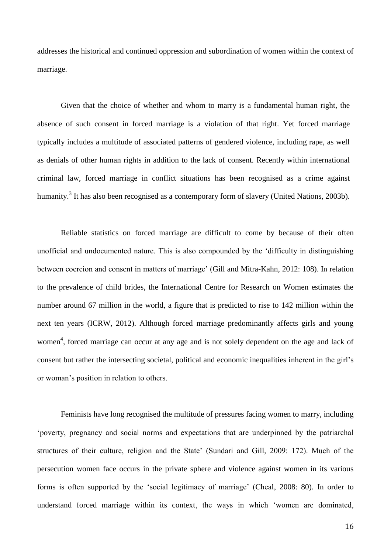addresses the historical and continued oppression and subordination of women within the context of marriage.

Given that the choice of whether and whom to marry is a fundamental human right, the absence of such consent in forced marriage is a violation of that right. Yet forced marriage typically includes a multitude of associated patterns of gendered violence, including rape, as well as denials of other human rights in addition to the lack of consent. Recently within international criminal law, forced marriage in conflict situations has been recognised as a crime against humanity.<sup>3</sup> It has also been recognised as a contemporary form of slavery (United Nations, 2003b).

Reliable statistics on forced marriage are difficult to come by because of their often unofficial and undocumented nature. This is also compounded by the 'difficulty in distinguishing between coercion and consent in matters of marriage' (Gill and Mitra-Kahn, 2012: 108). In relation to the prevalence of child brides, the International Centre for Research on Women estimates the number around 67 million in the world, a figure that is predicted to rise to 142 million within the next ten years (ICRW, 2012). Although forced marriage predominantly affects girls and young women<sup>4</sup>, forced marriage can occur at any age and is not solely dependent on the age and lack of consent but rather the intersecting societal, political and economic inequalities inherent in the girl's or woman's position in relation to others.

Feminists have long recognised the multitude of pressures facing women to marry, including 'poverty, pregnancy and social norms and expectations that are underpinned by the patriarchal structures of their culture, religion and the State' (Sundari and Gill, 2009: 172). Much of the persecution women face occurs in the private sphere and violence against women in its various forms is often supported by the 'social legitimacy of marriage' (Cheal, 2008: 80). In order to understand forced marriage within its context, the ways in which 'women are dominated,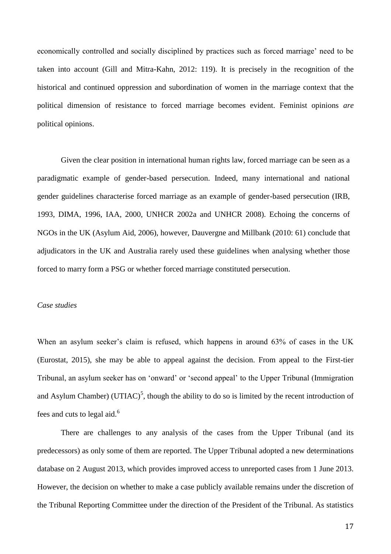economically controlled and socially disciplined by practices such as forced marriage' need to be taken into account (Gill and Mitra-Kahn, 2012: 119). It is precisely in the recognition of the historical and continued oppression and subordination of women in the marriage context that the political dimension of resistance to forced marriage becomes evident. Feminist opinions *are* political opinions.

Given the clear position in international human rights law, forced marriage can be seen as a paradigmatic example of gender-based persecution. Indeed, many international and national gender guidelines characterise forced marriage as an example of gender-based persecution (IRB, 1993, DIMA, 1996, IAA, 2000, UNHCR 2002a and UNHCR 2008). Echoing the concerns of NGOs in the UK (Asylum Aid, 2006), however, Dauvergne and Millbank (2010: 61) conclude that adjudicators in the UK and Australia rarely used these guidelines when analysing whether those forced to marry form a PSG or whether forced marriage constituted persecution.

#### *Case studies*

When an asylum seeker's claim is refused, which happens in around 63% of cases in the UK (Eurostat, 2015), she may be able to appeal against the decision. From appeal to the First-tier Tribunal, an asylum seeker has on 'onward' or 'second appeal' to the Upper Tribunal (Immigration and Asylum Chamber) (UTIAC)<sup>5</sup>, though the ability to do so is limited by the recent introduction of fees and cuts to legal aid.<sup>6</sup>

There are challenges to any analysis of the cases from the Upper Tribunal (and its predecessors) as only some of them are reported. The Upper Tribunal adopted a new determinations database on 2 August 2013, which provides improved access to unreported cases from 1 June 2013. However, the decision on whether to make a case publicly available remains under the discretion of the Tribunal Reporting Committee under the direction of the President of the Tribunal. As statistics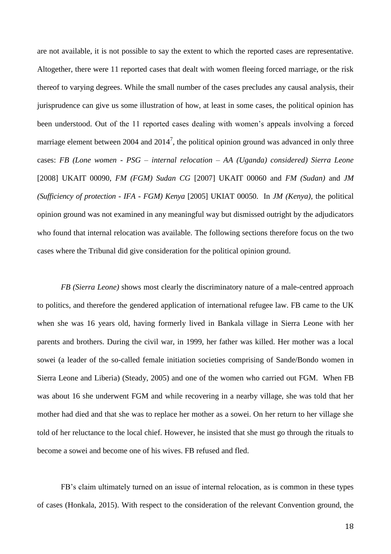are not available, it is not possible to say the extent to which the reported cases are representative. Altogether, there were 11 reported cases that dealt with women fleeing forced marriage, or the risk thereof to varying degrees. While the small number of the cases precludes any causal analysis, their jurisprudence can give us some illustration of how, at least in some cases, the political opinion has been understood. Out of the 11 reported cases dealing with women's appeals involving a forced marriage element between 2004 and  $2014^7$ , the political opinion ground was advanced in only three cases: *FB (Lone women - PSG – internal relocation – AA (Uganda) considered) Sierra Leone* [2008] UKAIT 00090, *[FM \(FGM\)](http://www.ait.gov.uk/Public/Upload/j2029/00060_ukait_2007_fm_sudan_cg.doc) Sudan CG* [2007] UKAIT 00060 and *FM (Sudan)* and *JM (Sufficiency of protection - IFA - FGM) Kenya* [2005] UKIAT 00050. In *JM (Kenya)*, the political opinion ground was not examined in any meaningful way but dismissed outright by the adjudicators who found that internal relocation was available. The following sections therefore focus on the two cases where the Tribunal did give consideration for the political opinion ground.

*FB (Sierra Leone)* shows most clearly the discriminatory nature of a male-centred approach to politics, and therefore the gendered application of international refugee law. FB came to the UK when she was 16 years old, having formerly lived in Bankala village in Sierra Leone with her parents and brothers. During the civil war, in 1999, her father was killed. Her mother was a local sowei (a leader of the so-called female initiation societies comprising of Sande/Bondo women in Sierra Leone and Liberia) (Steady, 2005) and one of the women who carried out FGM. When FB was about 16 she underwent FGM and while recovering in a nearby village, she was told that her mother had died and that she was to replace her mother as a sowei. On her return to her village she told of her reluctance to the local chief. However, he insisted that she must go through the rituals to become a sowei and become one of his wives. FB refused and fled.

FB's claim ultimately turned on an issue of internal relocation, as is common in these types of cases (Honkala, 2015). With respect to the consideration of the relevant Convention ground, the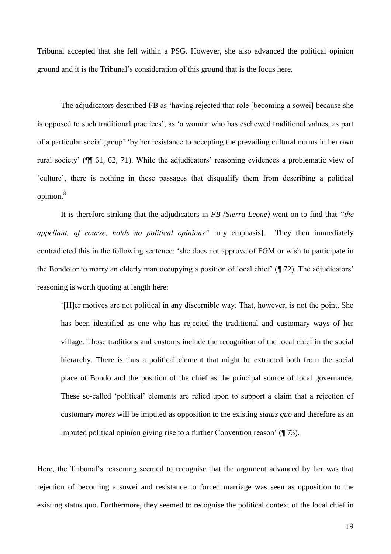Tribunal accepted that she fell within a PSG. However, she also advanced the political opinion ground and it is the Tribunal's consideration of this ground that is the focus here.

The adjudicators described FB as 'having rejected that role [becoming a sowei] because she is opposed to such traditional practices', as 'a woman who has eschewed traditional values, as part of a particular social group' 'by her resistance to accepting the prevailing cultural norms in her own rural society' (¶¶ 61, 62, 71). While the adjudicators' reasoning evidences a problematic view of 'culture', there is nothing in these passages that disqualify them from describing a political opinion.<sup>8</sup>

It is therefore striking that the adjudicators in *FB (Sierra Leone)* went on to find that *"the appellant, of course, holds no political opinions"* [my emphasis]. They then immediately contradicted this in the following sentence: 'she does not approve of FGM or wish to participate in the Bondo or to marry an elderly man occupying a position of local chief' (¶ 72). The adjudicators' reasoning is worth quoting at length here:

'[H]er motives are not political in any discernible way. That, however, is not the point. She has been identified as one who has rejected the traditional and customary ways of her village. Those traditions and customs include the recognition of the local chief in the social hierarchy. There is thus a political element that might be extracted both from the social place of Bondo and the position of the chief as the principal source of local governance. These so-called 'political' elements are relied upon to support a claim that a rejection of customary *mores* will be imputed as opposition to the existing *status quo* and therefore as an imputed political opinion giving rise to a further Convention reason' (¶ 73).

Here, the Tribunal's reasoning seemed to recognise that the argument advanced by her was that rejection of becoming a sowei and resistance to forced marriage was seen as opposition to the existing status quo. Furthermore, they seemed to recognise the political context of the local chief in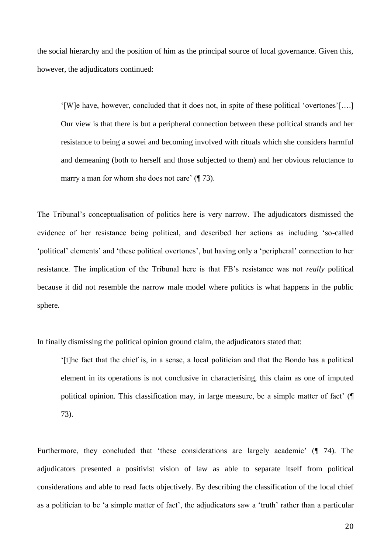the social hierarchy and the position of him as the principal source of local governance. Given this, however, the adjudicators continued:

'[W]e have, however, concluded that it does not, in spite of these political 'overtones'[….] Our view is that there is but a peripheral connection between these political strands and her resistance to being a sowei and becoming involved with rituals which she considers harmful and demeaning (both to herself and those subjected to them) and her obvious reluctance to marry a man for whom she does not care' (¶ 73).

The Tribunal's conceptualisation of politics here is very narrow. The adjudicators dismissed the evidence of her resistance being political, and described her actions as including 'so-called 'political' elements' and 'these political overtones', but having only a 'peripheral' connection to her resistance. The implication of the Tribunal here is that FB's resistance was not *really* political because it did not resemble the narrow male model where politics is what happens in the public sphere.

In finally dismissing the political opinion ground claim, the adjudicators stated that:

'[t]he fact that the chief is, in a sense, a local politician and that the Bondo has a political element in its operations is not conclusive in characterising, this claim as one of imputed political opinion. This classification may, in large measure, be a simple matter of fact' (¶ 73).

Furthermore, they concluded that 'these considerations are largely academic' (¶ 74). The adjudicators presented a positivist vision of law as able to separate itself from political considerations and able to read facts objectively. By describing the classification of the local chief as a politician to be 'a simple matter of fact', the adjudicators saw a 'truth' rather than a particular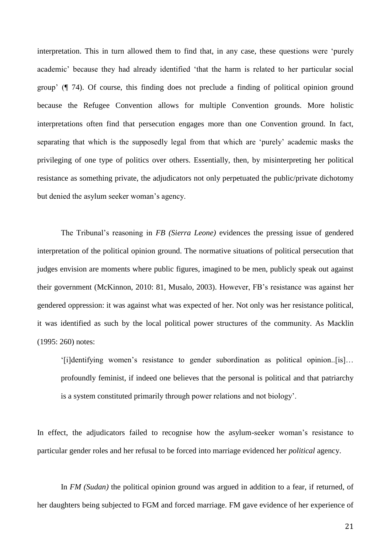interpretation. This in turn allowed them to find that, in any case, these questions were 'purely academic' because they had already identified 'that the harm is related to her particular social group' (¶ 74). Of course, this finding does not preclude a finding of political opinion ground because the Refugee Convention allows for multiple Convention grounds. More holistic interpretations often find that persecution engages more than one Convention ground. In fact, separating that which is the supposedly legal from that which are 'purely' academic masks the privileging of one type of politics over others. Essentially, then, by misinterpreting her political resistance as something private, the adjudicators not only perpetuated the public/private dichotomy but denied the asylum seeker woman's agency.

The Tribunal's reasoning in *FB (Sierra Leone)* evidences the pressing issue of gendered interpretation of the political opinion ground. The normative situations of political persecution that judges envision are moments where public figures, imagined to be men, publicly speak out against their government (McKinnon, 2010: 81, Musalo, 2003). However, FB's resistance was against her gendered oppression: it was against what was expected of her. Not only was her resistance political, it was identified as such by the local political power structures of the community. As Macklin (1995: 260) notes:

'[i]dentifying women's resistance to gender subordination as political opinion..[is]… profoundly feminist, if indeed one believes that the personal is political and that patriarchy is a system constituted primarily through power relations and not biology'.

In effect, the adjudicators failed to recognise how the asylum-seeker woman's resistance to particular gender roles and her refusal to be forced into marriage evidenced her *political* agency.

In *FM (Sudan)* the political opinion ground was argued in addition to a fear, if returned, of her daughters being subjected to FGM and forced marriage. FM gave evidence of her experience of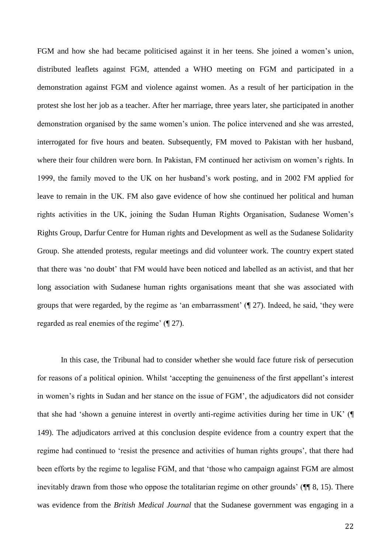FGM and how she had became politicised against it in her teens. She joined a women's union, distributed leaflets against FGM, attended a WHO meeting on FGM and participated in a demonstration against FGM and violence against women. As a result of her participation in the protest she lost her job as a teacher. After her marriage, three years later, she participated in another demonstration organised by the same women's union. The police intervened and she was arrested, interrogated for five hours and beaten. Subsequently, FM moved to Pakistan with her husband, where their four children were born. In Pakistan, FM continued her activism on women's rights. In 1999, the family moved to the UK on her husband's work posting, and in 2002 FM applied for leave to remain in the UK. FM also gave evidence of how she continued her political and human rights activities in the UK, joining the Sudan Human Rights Organisation, Sudanese Women's Rights Group, Darfur Centre for Human rights and Development as well as the Sudanese Solidarity Group. She attended protests, regular meetings and did volunteer work. The country expert stated that there was 'no doubt' that FM would have been noticed and labelled as an activist, and that her long association with Sudanese human rights organisations meant that she was associated with groups that were regarded, by the regime as 'an embarrassment' (¶ 27). Indeed, he said, 'they were regarded as real enemies of the regime' (¶ 27).

In this case, the Tribunal had to consider whether she would face future risk of persecution for reasons of a political opinion. Whilst 'accepting the genuineness of the first appellant's interest in women's rights in Sudan and her stance on the issue of FGM', the adjudicators did not consider that she had 'shown a genuine interest in overtly anti-regime activities during her time in UK' (¶ 149). The adjudicators arrived at this conclusion despite evidence from a country expert that the regime had continued to 'resist the presence and activities of human rights groups', that there had been efforts by the regime to legalise FGM, and that 'those who campaign against FGM are almost inevitably drawn from those who oppose the totalitarian regime on other grounds' (¶¶ 8, 15). There was evidence from the *British Medical Journal* that the Sudanese government was engaging in a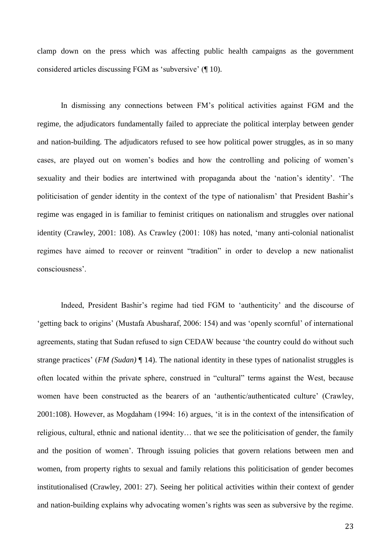clamp down on the press which was affecting public health campaigns as the government considered articles discussing FGM as 'subversive' (¶ 10).

In dismissing any connections between FM's political activities against FGM and the regime, the adjudicators fundamentally failed to appreciate the political interplay between gender and nation-building. The adjudicators refused to see how political power struggles, as in so many cases, are played out on women's bodies and how the controlling and policing of women's sexuality and their bodies are intertwined with propaganda about the 'nation's identity'. 'The politicisation of gender identity in the context of the type of nationalism' that President Bashir's regime was engaged in is familiar to feminist critiques on nationalism and struggles over national identity (Crawley, 2001: 108). As Crawley (2001: 108) has noted, 'many anti-colonial nationalist regimes have aimed to recover or reinvent "tradition" in order to develop a new nationalist consciousness'.

Indeed, President Bashir's regime had tied FGM to 'authenticity' and the discourse of 'getting back to origins' (Mustafa Abusharaf, 2006: 154) and was 'openly scornful' of international agreements, stating that Sudan refused to sign CEDAW because 'the country could do without such strange practices' (*FM (Sudan)* ¶ 14). The national identity in these types of nationalist struggles is often located within the private sphere, construed in "cultural" terms against the West, because women have been constructed as the bearers of an 'authentic/authenticated culture' (Crawley, 2001:108). However, as Mogdaham (1994: 16) argues, 'it is in the context of the intensification of religious, cultural, ethnic and national identity… that we see the politicisation of gender, the family and the position of women'. Through issuing policies that govern relations between men and women, from property rights to sexual and family relations this politicisation of gender becomes institutionalised (Crawley, 2001: 27). Seeing her political activities within their context of gender and nation-building explains why advocating women's rights was seen as subversive by the regime.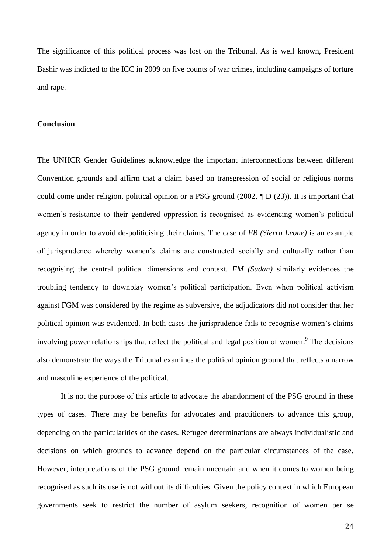The significance of this political process was lost on the Tribunal. As is well known, President Bashir was indicted to the ICC in 2009 on five counts of war crimes, including campaigns of torture and rape.

#### **Conclusion**

The UNHCR Gender Guidelines acknowledge the important interconnections between different Convention grounds and affirm that a claim based on transgression of social or religious norms could come under religion, political opinion or a PSG ground (2002, ¶ D (23)). It is important that women's resistance to their gendered oppression is recognised as evidencing women's political agency in order to avoid de-politicising their claims. The case of *FB (Sierra Leone)* is an example of jurisprudence whereby women's claims are constructed socially and culturally rather than recognising the central political dimensions and context. *FM (Sudan)* similarly evidences the troubling tendency to downplay women's political participation. Even when political activism against FGM was considered by the regime as subversive, the adjudicators did not consider that her political opinion was evidenced. In both cases the jurisprudence fails to recognise women's claims involving power relationships that reflect the political and legal position of women.<sup>9</sup> The decisions also demonstrate the ways the Tribunal examines the political opinion ground that reflects a narrow and masculine experience of the political.

It is not the purpose of this article to advocate the abandonment of the PSG ground in these types of cases. There may be benefits for advocates and practitioners to advance this group, depending on the particularities of the cases. Refugee determinations are always individualistic and decisions on which grounds to advance depend on the particular circumstances of the case. However, interpretations of the PSG ground remain uncertain and when it comes to women being recognised as such its use is not without its difficulties. Given the policy context in which European governments seek to restrict the number of asylum seekers, recognition of women per se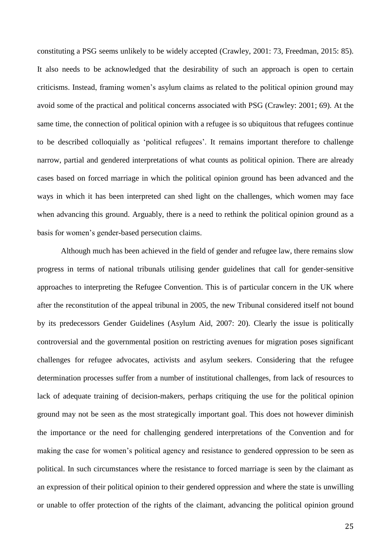constituting a PSG seems unlikely to be widely accepted (Crawley, 2001: 73, Freedman, 2015: 85). It also needs to be acknowledged that the desirability of such an approach is open to certain criticisms. Instead, framing women's asylum claims as related to the political opinion ground may avoid some of the practical and political concerns associated with PSG (Crawley: 2001; 69). At the same time, the connection of political opinion with a refugee is so ubiquitous that refugees continue to be described colloquially as 'political refugees'. It remains important therefore to challenge narrow, partial and gendered interpretations of what counts as political opinion. There are already cases based on forced marriage in which the political opinion ground has been advanced and the ways in which it has been interpreted can shed light on the challenges, which women may face when advancing this ground. Arguably, there is a need to rethink the political opinion ground as a basis for women's gender-based persecution claims.

Although much has been achieved in the field of gender and refugee law, there remains slow progress in terms of national tribunals utilising gender guidelines that call for gender-sensitive approaches to interpreting the Refugee Convention. This is of particular concern in the UK where after the reconstitution of the appeal tribunal in 2005, the new Tribunal considered itself not bound by its predecessors Gender Guidelines (Asylum Aid, 2007: 20). Clearly the issue is politically controversial and the governmental position on restricting avenues for migration poses significant challenges for refugee advocates, activists and asylum seekers. Considering that the refugee determination processes suffer from a number of institutional challenges, from lack of resources to lack of adequate training of decision-makers, perhaps critiquing the use for the political opinion ground may not be seen as the most strategically important goal. This does not however diminish the importance or the need for challenging gendered interpretations of the Convention and for making the case for women's political agency and resistance to gendered oppression to be seen as political. In such circumstances where the resistance to forced marriage is seen by the claimant as an expression of their political opinion to their gendered oppression and where the state is unwilling or unable to offer protection of the rights of the claimant, advancing the political opinion ground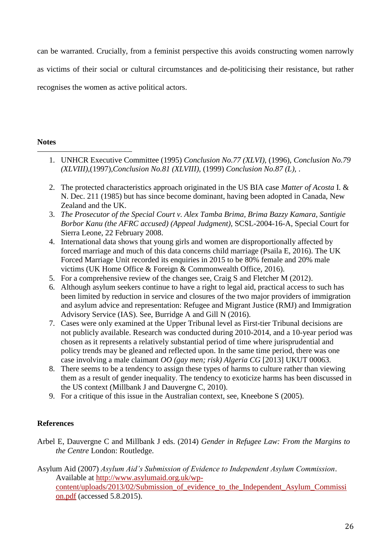can be warranted. Crucially, from a feminist perspective this avoids constructing women narrowly

as victims of their social or cultural circumstances and de-politicising their resistance, but rather

recognises the women as active political actors.

#### **Notes**

 $\overline{a}$ 

- 1. UNHCR Executive Committee (1995) *Conclusion No.77 (XLVI),* (1996), *Conclusion No.79 (XLVIII),*(1997)*,Conclusion No.81 (XLVIII),* (1999) *Conclusion No.87 (L),* .
- 2. The protected characteristics approach originated in the US BIA case *Matter of Acosta* I. & N. Dec. 211 (1985) but has since become dominant, having been adopted in Canada, New Zealand and the UK.
- 3. *The Prosecutor of the Special Court v. Alex Tamba Brima, Brima Bazzy Kamara, Santigie Borbor Kanu (the AFRC accused) (Appeal Judgment)*, SCSL-2004-16-A, Special Court for Sierra Leone, 22 February 2008.
- 4. International data shows that young girls and women are disproportionally affected by forced marriage and much of this data concerns child marriage (Psaila E, 2016). The UK Forced Marriage Unit recorded its enquiries in 2015 to be 80% female and 20% male victims (UK Home Office & Foreign & Commonwealth Office, 2016).
- 5. For a comprehensive review of the changes see, Craig S and Fletcher M (2012).
- 6. Although asylum seekers continue to have a right to legal aid, practical access to such has been limited by reduction in service and closures of the two major providers of immigration and asylum advice and representation: Refugee and Migrant Justice (RMJ) and Immigration Advisory Service (IAS). See, Burridge A and Gill N (2016).
- 7. Cases were only examined at the Upper Tribunal level as First-tier Tribunal decisions are not publicly available. Research was conducted during 2010-2014, and a 10-year period was chosen as it represents a relatively substantial period of time where jurisprudential and policy trends may be gleaned and reflected upon. In the same time period, there was one case involving a male claimant *OO (gay men; risk) Algeria CG* [2013] UKUT 00063.
- 8. There seems to be a tendency to assign these types of harms to culture rather than viewing them as a result of gender inequality. The tendency to exoticize harms has been discussed in the US context (Millbank J and Dauvergne C, 2010).
- 9. For a critique of this issue in the Australian context, see, Kneebone S (2005).

#### **References**

- Arbel E, Dauvergne C and Millbank J eds. (2014) *Gender in Refugee Law: From the Margins to the Centre* London: Routledge.
- Asylum Aid (2007) *Asylum Aid's Submission of Evidence to Independent Asylum Commission*. Available at [http://www.asylumaid.org.uk/wp](http://www.asylumaid.org.uk/wp-content/uploads/2013/02/Submission_of_evidence_to_the_Independent_Asylum_Commission.pdf)[content/uploads/2013/02/Submission\\_of\\_evidence\\_to\\_the\\_Independent\\_Asylum\\_Commissi](http://www.asylumaid.org.uk/wp-content/uploads/2013/02/Submission_of_evidence_to_the_Independent_Asylum_Commission.pdf) [on.pdf](http://www.asylumaid.org.uk/wp-content/uploads/2013/02/Submission_of_evidence_to_the_Independent_Asylum_Commission.pdf) (accessed 5.8.2015).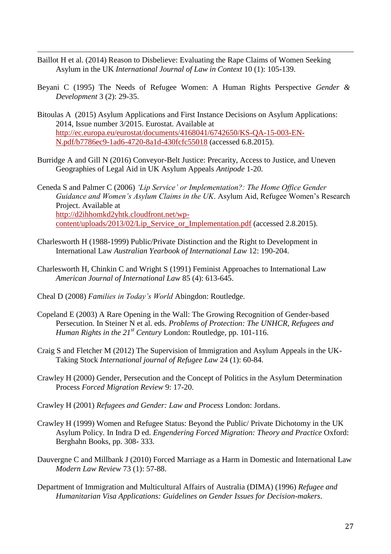- l Baillot H et al. (2014) Reason to Disbelieve: Evaluating the Rape Claims of Women Seeking Asylum in the UK *International Journal of Law in Context* 10 (1): 105-139.
- Beyani C (1995) The Needs of Refugee Women: A Human Rights Perspective *Gender & Development* 3 (2): 29-35.
- Bitoulas A (2015) Asylum Applications and First Instance Decisions on Asylum Applications: 2014, Issue number 3/2015. Eurostat. Available at [http://ec.europa.eu/eurostat/documents/4168041/6742650/KS-QA-15-003-EN-](http://ec.europa.eu/eurostat/documents/4168041/6742650/KS-QA-15-003-EN-N.pdf/b7786ec9-1ad6-4720-8a1d-430fcfc55018)[N.pdf/b7786ec9-1ad6-4720-8a1d-430fcfc55018](http://ec.europa.eu/eurostat/documents/4168041/6742650/KS-QA-15-003-EN-N.pdf/b7786ec9-1ad6-4720-8a1d-430fcfc55018) (accessed 6.8.2015).
- Burridge A and Gill N (2016) Conveyor-Belt Justice: Precarity, Access to Justice, and Uneven Geographies of Legal Aid in UK Asylum Appeals *Antipode* 1-20.
- Ceneda S and Palmer C (2006) *'Lip Service' or Implementation?: The Home Office Gender Guidance and Women's Asylum Claims in the UK*. Asylum Aid, Refugee Women's Research Project. Available at [http://d2ihhomkd2yhtk.cloudfront.net/wp](http://d2ihhomkd2yhtk.cloudfront.net/wp-content/uploads/2013/02/Lip_Service_or_Implementation.pdf)[content/uploads/2013/02/Lip\\_Service\\_or\\_Implementation.pdf](http://d2ihhomkd2yhtk.cloudfront.net/wp-content/uploads/2013/02/Lip_Service_or_Implementation.pdf) (accessed 2.8.2015).
- Charlesworth H (1988-1999) Public/Private Distinction and the Right to Development in International Law *Australian Yearbook of International Law* 12: 190-204.
- Charlesworth H, Chinkin C and Wright S (1991) Feminist Approaches to International Law *American Journal of International Law* 85 (4): 613-645.
- Cheal D (2008) *Families in Today's World* Abingdon: Routledge.
- Copeland E (2003) A Rare Opening in the Wall: The Growing Recognition of Gender-based Persecution. In Steiner N et al. eds. *Problems of Protection: The UNHCR, Refugees and Human Rights in the 21st Century* London: Routledge, pp. 101-116.
- Craig S and Fletcher M (2012) The Supervision of Immigration and Asylum Appeals in the UK-Taking Stock *International journal of Refugee Law* 24 (1): 60-84.
- Crawley H (2000) Gender, Persecution and the Concept of Politics in the Asylum Determination Process *Forced Migration Review* 9: 17-20.
- Crawley H (2001) *Refugees and Gender: Law and Process* London: Jordans.
- Crawley H (1999) Women and Refugee Status: Beyond the Public/ Private Dichotomy in the UK Asylum Policy. In Indra D ed. *Engendering Forced Migration: Theory and Practice* Oxford: Berghahn Books, pp. 308- 333.
- Dauvergne C and Millbank J (2010) Forced Marriage as a Harm in Domestic and International Law *Modern Law Review* 73 (1): 57-88.
- Department of Immigration and Multicultural Affairs of Australia (DIMA) (1996) *Refugee and Humanitarian Visa Applications: Guidelines on Gender Issues for Decision-makers*.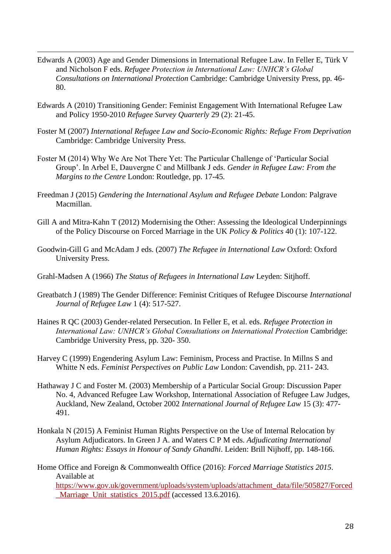Edwards A (2003) Age and Gender Dimensions in International Refugee Law. In Feller E, Türk V and Nicholson F eds. *Refugee Protection in International Law: UNHCR's Global Consultations on International Protection* Cambridge: Cambridge University Press, pp. 46- 80.

l

- Edwards A (2010) Transitioning Gender: Feminist Engagement With International Refugee Law and Policy 1950-2010 *Refugee Survey Quarterly* 29 (2): 21-45.
- Foster M (2007) *International Refugee Law and Socio-Economic Rights: Refuge From Deprivation*  Cambridge: Cambridge University Press.
- Foster M (2014) Why We Are Not There Yet: The Particular Challenge of 'Particular Social Group'. In Arbel E, Dauvergne C and Millbank J eds. *Gender in Refugee Law: From the Margins to the Centre* London: Routledge, pp. 17-45.
- Freedman J (2015) *Gendering the International Asylum and Refugee Debate* London: Palgrave Macmillan.
- Gill A and Mitra-Kahn T (2012) Modernising the Other: Assessing the Ideological Underpinnings of the Policy Discourse on Forced Marriage in the UK *Policy & Politics* 40 (1): 107-122.
- Goodwin-Gill G and McAdam J eds. (2007) *The Refugee in International Law* Oxford: Oxford University Press.
- Grahl-Madsen A (1966) *The Status of Refugees in International Law* Leyden: Sitjhoff.
- Greatbatch J (1989) The Gender Difference: Feminist Critiques of Refugee Discourse *International Journal of Refugee Law* 1 (4): 517-527.
- Haines R QC (2003) Gender-related Persecution. In Feller E, et al. eds. *Refugee Protection in International Law: UNHCR's Global Consultations on International Protection Cambridge:* Cambridge University Press, pp. 320- 350.
- Harvey C (1999) Engendering Asylum Law: Feminism, Process and Practise. In Millns S and Whitte N eds. *Feminist Perspectives on Public Law* London: Cavendish, pp. 211- 243.
- Hathaway J C and Foster M. (2003) Membership of a Particular Social Group: Discussion Paper No. 4, Advanced Refugee Law Workshop, International Association of Refugee Law Judges, Auckland, New Zealand, October 2002 *International Journal of Refugee Law* 15 (3): 477- 491.
- Honkala N (2015) [A Feminist Human Rights Perspective on the Use](http://centaur.reading.ac.uk/39093/) of Internal Relocation by [Asylum Adjudicators.](http://centaur.reading.ac.uk/39093/) In Green J A. and Waters C P M eds. *Adjudicating International Human Rights: Essays in Honour of Sandy Ghandhi*. Leiden: Brill Nijhoff, pp. 148-166.
- Home Office and Foreign & Commonwealth Office (2016): *Forced Marriage Statistics 2015*. Available at [https://www.gov.uk/government/uploads/system/uploads/attachment\\_data/file/505827/Forced](https://www.gov.uk/government/uploads/system/uploads/attachment_data/file/505827/Forced_Marriage_Unit_statistics_2015.pdf) [\\_Marriage\\_Unit\\_statistics\\_2015.pdf](https://www.gov.uk/government/uploads/system/uploads/attachment_data/file/505827/Forced_Marriage_Unit_statistics_2015.pdf) (accessed 13.6.2016).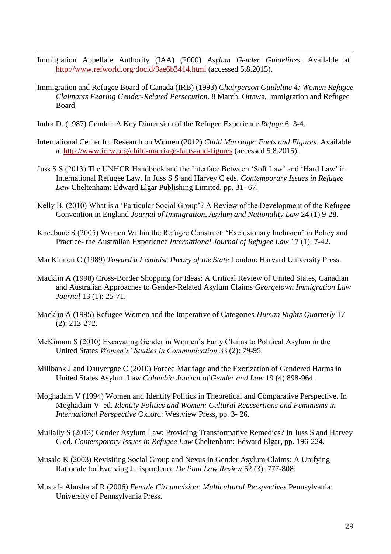- l Immigration Appellate Authority (IAA) (2000) *Asylum Gender Guidelines*. Available at <http://www.refworld.org/docid/3ae6b3414.html> (accessed 5.8.2015).
- Immigration and Refugee Board of Canada (IRB) (1993) *Chairperson Guideline 4: Women Refugee Claimants Fearing Gender-Related Persecution.* 8 March. Ottawa, Immigration and Refugee Board.
- Indra D. (1987) Gender: A Key Dimension of the Refugee Experience *Refuge* 6: 3-4.
- International Center for Research on Women (2012) *Child Marriage: Facts and Figures*. Available at<http://www.icrw.org/child-marriage-facts-and-figures> (accessed 5.8.2015).
- Juss S S (2013) The UNHCR Handbook and the Interface Between 'Soft Law' and 'Hard Law' in International Refugee Law. In Juss S S and Harvey C eds. *Contemporary Issues in Refugee Law* Cheltenham: Edward Elgar Publishing Limited, pp. 31- 67.
- Kelly B. (2010) What is a 'Particular Social Group'? A Review of the Development of the Refugee Convention in England *Journal of Immigration, Asylum and Nationality Law* 24 (1) 9-28.
- Kneebone S (2005) Women Within the Refugee Construct: 'Exclusionary Inclusion' in Policy and Practice- the Australian Experience *International Journal of Refugee Law* 17 (1): 7-42.
- MacKinnon C (1989) *Toward a Feminist Theory of the State* London: Harvard University Press.
- Macklin A (1998) Cross-Border Shopping for Ideas: A Critical Review of United States, Canadian and Australian Approaches to Gender-Related Asylum Claims *Georgetown Immigration Law Journal* 13 (1): 25-71.
- Macklin A (1995) Refugee Women and the Imperative of Categories *Human Rights Quarterly* 17 (2): 213-272.
- McKinnon S (2010) Excavating Gender in Women's Early Claims to Political Asylum in the United States *Women's' Studies in Communication* 33 (2): 79-95.
- Millbank J and Dauvergne C (2010) Forced Marriage and the Exotization of Gendered Harms in United States Asylum Law *Columbia Journal of Gender and Law* 19 (4) 898-964.
- Moghadam V (1994) Women and Identity Politics in Theoretical and Comparative Perspective. In Moghadam V ed. *Identity Politics and Women: Cultural Reassertions and Feminisms in International Perspective* Oxford: Westview Press, pp. 3- 26.
- Mullally S (2013) Gender Asylum Law: Providing Transformative Remedies? In Juss S and Harvey C ed. *Contemporary Issues in Refugee Law* Cheltenham: Edward Elgar, pp. 196-224.
- Musalo K (2003) Revisiting Social Group and Nexus in Gender Asylum Claims: A Unifying Rationale for Evolving Jurisprudence *De Paul Law Review* 52 (3): 777-808.
- Mustafa Abusharaf R (2006) *Female Circumcision: Multicultural Perspectives* Pennsylvania: University of Pennsylvania Press.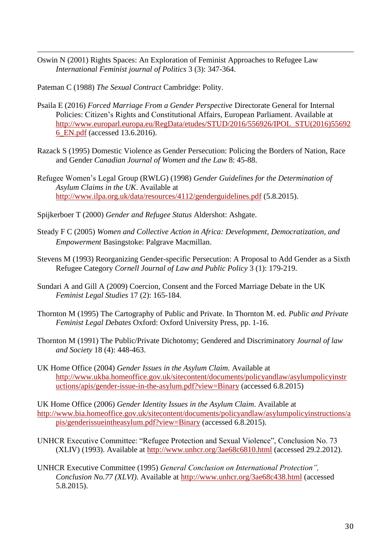l Oswin N (2001) Rights Spaces: An Exploration of Feminist Approaches to Refugee Law *International Feminist journal of Politics* 3 (3): 347-364.

Pateman C (1988) *The Sexual Contract* Cambridge: Polity.

- Psaila E (2016) *Forced Marriage From a Gender Perspective* Directorate General for Internal Policies: Citizen's Rights and Constitutional Affairs, European Parliament. Available at [http://www.europarl.europa.eu/RegData/etudes/STUD/2016/556926/IPOL\\_STU\(2016\)55692](http://www.europarl.europa.eu/RegData/etudes/STUD/2016/556926/IPOL_STU(2016)556926_EN.pdf) [6\\_EN.pdf](http://www.europarl.europa.eu/RegData/etudes/STUD/2016/556926/IPOL_STU(2016)556926_EN.pdf) (accessed 13.6.2016).
- Razack S (1995) Domestic Violence as Gender Persecution: Policing the Borders of Nation, Race and Gender *Canadian Journal of Women and the Law* 8: 45-88.
- Refugee Women's Legal Group (RWLG) (1998) *Gender Guidelines for the Determination of Asylum Claims in the UK*. Available at <http://www.ilpa.org.uk/data/resources/4112/genderguidelines.pdf> (5.8.2015).
- Spijkerboer T (2000) *Gender and Refugee Status* Aldershot: Ashgate.
- Steady F C (2005) *Women and Collective Action in Africa: Development, Democratization, and Empowerment* Basingstoke: Palgrave Macmillan.
- Stevens M (1993) Reorganizing Gender-specific Persecution: A Proposal to Add Gender as a Sixth Refugee Category *Cornell Journal of Law and Public Policy* 3 (1): 179-219.
- Sundari A and Gill A (2009) Coercion, Consent and the Forced Marriage Debate in the UK *Feminist Legal Studies* 17 (2): 165-184.
- Thornton M (1995) The Cartography of Public and Private. In Thornton M. ed. *Public and Private Feminist Legal Debates* Oxford: Oxford University Press, pp. 1-16.
- Thornton M (1991) The Public/Private Dichotomy; Gendered and Discriminatory *Journal of law and Society* 18 (4): 448-463.
- UK Home Office (2004) *Gender Issues in the Asylum Claim.* Available at [http://www.ukba.homeoffice.gov.uk/sitecontent/documents/policyandlaw/asylumpolicyinstr](http://www.ukba.homeoffice.gov.uk/sitecontent/documents/policyandlaw/asylumpolicyinstructions/apis/gender-issue-in-the-asylum.pdf?view=Binary) [uctions/apis/gender-issue-in-the-asylum.pdf?view=Binary](http://www.ukba.homeoffice.gov.uk/sitecontent/documents/policyandlaw/asylumpolicyinstructions/apis/gender-issue-in-the-asylum.pdf?view=Binary) (accessed 6.8.2015)

UK Home Office (2006) *Gender Identity Issues in the Asylum Claim*. Available at [http://www.bia.homeoffice.gov.uk/sitecontent/documents/policyandlaw/asylumpolicyinstructions/a](http://www.bia.homeoffice.gov.uk/sitecontent/documents/policyandlaw/asylumpolicyinstructions/apis/genderissueintheasylum.pdf?view=Binary) [pis/genderissueintheasylum.pdf?view=Binary](http://www.bia.homeoffice.gov.uk/sitecontent/documents/policyandlaw/asylumpolicyinstructions/apis/genderissueintheasylum.pdf?view=Binary) (accessed 6.8.2015).

- UNHCR Executive Committee: "Refugee Protection and Sexual Violence", Conclusion No. 73 (XLIV) (1993). Available at<http://www.unhcr.org/3ae68c6810.html> (accessed 29.2.2012).
- UNHCR Executive Committee (1995) *General Conclusion on International Protection", Conclusion No.77 (XLVI)*. Available at<http://www.unhcr.org/3ae68c438.html> (accessed 5.8.2015).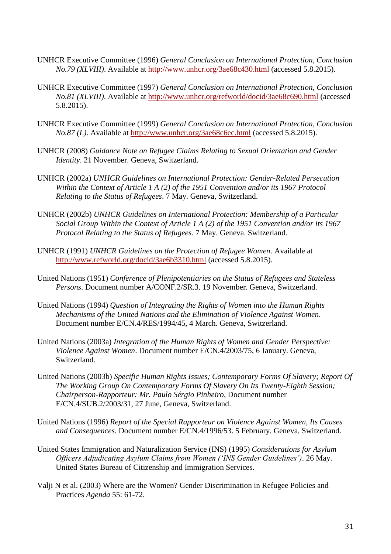- l UNHCR Executive Committee (1996) *General Conclusion on International Protection, Conclusion No.79 (XLVIII)*. Available at<http://www.unhcr.org/3ae68c430.html> (accessed 5.8.2015).
- UNHCR Executive Committee (1997) *General Conclusion on International Protection, Conclusion No.81 (XLVIII)*. Available at<http://www.unhcr.org/refworld/docid/3ae68c690.html> (accessed 5.8.2015).
- UNHCR Executive Committee (1999) *General Conclusion on International Protection, Conclusion No.87 (L)*. Available at<http://www.unhcr.org/3ae68c6ec.html> (accessed 5.8.2015).
- UNHCR (2008) *Guidance Note on Refugee Claims Relating to Sexual Orientation and Gender Identity*. 21 November. Geneva, Switzerland.
- UNHCR (2002a) *UNHCR Guidelines on International Protection: Gender-Related Persecution Within the Context of Article 1 A (2) of the 1951 Convention and/or its 1967 Protocol Relating to the Status of Refugees*. 7 May. Geneva, Switzerland.
- UNHCR (2002b) *UNHCR Guidelines on International Protection: Membership of a Particular Social Group Within the Context of Article 1 A (2) of the 1951 Convention and/or its 1967 Protocol Relating to the Status of Refugees*. 7 May. Geneva. Switzerland.
- UNHCR (1991) *UNHCR Guidelines on the Protection of Refugee Women*. Available at <http://www.refworld.org/docid/3ae6b3310.html> (accessed 5.8.2015).
- United Nations (1951) *Conference of Plenipotentiaries on the Status of Refugees and Stateless Persons*. Document number A/CONF.2/SR.3. 19 November. Geneva, Switzerland.
- United Nations (1994) *Question of Integrating the Rights of Women into the Human Rights Mechanisms of the United Nations and the Elimination of Violence Against Women*. Document number E/CN.4/RES/1994/45, 4 March. Geneva, Switzerland.
- United Nations (2003a) *Integration of the Human Rights of Women and Gender Perspective: Violence Against Women*. Document number E/CN.4/2003/75, 6 January. Geneva, Switzerland.
- United Nations (2003b) *Specific Human Rights Issues; Contemporary Forms Of Slavery; Report Of The Working Group On Contemporary Forms Of Slavery On Its Twenty-Eighth Session; Chairperson-Rapporteur: Mr. Paulo Sérgio Pinheiro*, Document number E/CN.4/SUB.2/2003/31, 27 June, Geneva, Switzerland.
- United Nations (1996) *Report of the Special Rapporteur on Violence Against Women, Its Causes and Consequences*. Document number E/CN.4/1996/53. 5 February. Geneva, Switzerland.
- United States Immigration and Naturalization Service (INS) (1995) *Considerations for Asylum Officers Adjudicating Asylum Claims from Women ('INS Gender Guidelines')*. 26 May. United States Bureau of Citizenship and Immigration Services.
- Valji N et al. (2003) Where are the Women? Gender Discrimination in Refugee Policies and Practices *Agenda* 55: 61-72.